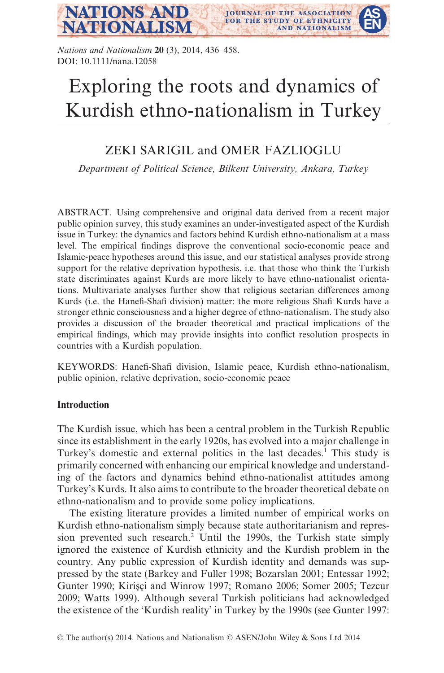*Nations and Nationalism* **20** (3), 2014, 436–458. DOI: 10.1111/nana.12058

# Exploring the roots and dynamics of Kurdish ethno-nationalism in Turkey

# ZEKI SARIGIL and OMER FAZLIOGLU

*Department of Political Science, Bilkent University, Ankara, Turkey*

ABSTRACT. Using comprehensive and original data derived from a recent major public opinion survey, this study examines an under-investigated aspect of the Kurdish issue in Turkey: the dynamics and factors behind Kurdish ethno-nationalism at a mass level. The empirical findings disprove the conventional socio-economic peace and Islamic-peace hypotheses around this issue, and our statistical analyses provide strong support for the relative deprivation hypothesis, i.e. that those who think the Turkish state discriminates against Kurds are more likely to have ethno-nationalist orientations. Multivariate analyses further show that religious sectarian differences among Kurds (i.e. the Hanefi-Shafi division) matter: the more religious Shafi Kurds have a stronger ethnic consciousness and a higher degree of ethno-nationalism. The study also provides a discussion of the broader theoretical and practical implications of the empirical findings, which may provide insights into conflict resolution prospects in countries with a Kurdish population.

KEYWORDS: Hanefi-Shafi division, Islamic peace, Kurdish ethno-nationalism, public opinion, relative deprivation, socio-economic peace

## **Introduction**

The Kurdish issue, which has been a central problem in the Turkish Republic since its establishment in the early 1920s, has evolved into a major challenge in Turkey's domestic and external politics in the last decades.<sup>1</sup> This study is primarily concerned with enhancing our empirical knowledge and understanding of the factors and dynamics behind ethno-nationalist attitudes among Turkey's Kurds. It also aims to contribute to the broader theoretical debate on ethno-nationalism and to provide some policy implications.

The existing literature provides a limited number of empirical works on Kurdish ethno-nationalism simply because state authoritarianism and repression prevented such research.2 Until the 1990s, the Turkish state simply ignored the existence of Kurdish ethnicity and the Kurdish problem in the country. Any public expression of Kurdish identity and demands was suppressed by the state (Barkey and Fuller 1998; Bozarslan 2001; Entessar 1992; Gunter 1990; Kirişçi and Winrow 1997; Romano 2006; Somer 2005; Tezcur 2009; Watts 1999). Although several Turkish politicians had acknowledged the existence of the 'Kurdish reality' in Turkey by the 1990s (see Gunter 1997: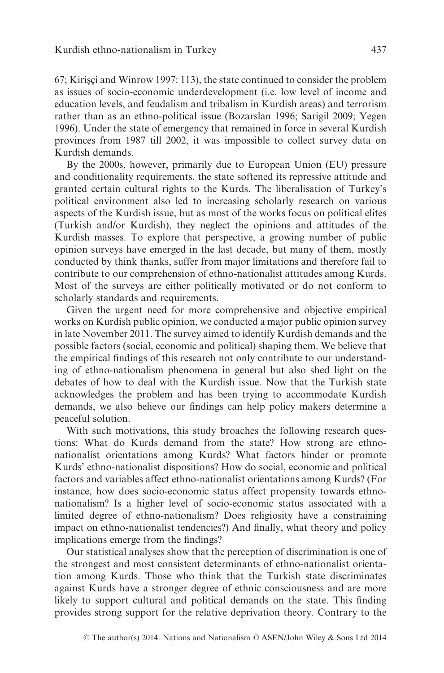67; Kirisci and Winrow 1997: 113), the state continued to consider the problem as issues of socio-economic underdevelopment (i.e. low level of income and education levels, and feudalism and tribalism in Kurdish areas) and terrorism rather than as an ethno-political issue (Bozarslan 1996; Sarigil 2009; Yegen 1996). Under the state of emergency that remained in force in several Kurdish provinces from 1987 till 2002, it was impossible to collect survey data on Kurdish demands.

By the 2000s, however, primarily due to European Union (EU) pressure and conditionality requirements, the state softened its repressive attitude and granted certain cultural rights to the Kurds. The liberalisation of Turkey's political environment also led to increasing scholarly research on various aspects of the Kurdish issue, but as most of the works focus on political elites (Turkish and/or Kurdish), they neglect the opinions and attitudes of the Kurdish masses. To explore that perspective, a growing number of public opinion surveys have emerged in the last decade, but many of them, mostly conducted by think thanks, suffer from major limitations and therefore fail to contribute to our comprehension of ethno-nationalist attitudes among Kurds. Most of the surveys are either politically motivated or do not conform to scholarly standards and requirements.

Given the urgent need for more comprehensive and objective empirical works on Kurdish public opinion, we conducted a major public opinion survey in late November 2011. The survey aimed to identify Kurdish demands and the possible factors (social, economic and political) shaping them. We believe that the empirical findings of this research not only contribute to our understanding of ethno-nationalism phenomena in general but also shed light on the debates of how to deal with the Kurdish issue. Now that the Turkish state acknowledges the problem and has been trying to accommodate Kurdish demands, we also believe our findings can help policy makers determine a peaceful solution.

With such motivations, this study broaches the following research questions: What do Kurds demand from the state? How strong are ethnonationalist orientations among Kurds? What factors hinder or promote Kurds' ethno-nationalist dispositions? How do social, economic and political factors and variables affect ethno-nationalist orientations among Kurds? (For instance, how does socio-economic status affect propensity towards ethnonationalism? Is a higher level of socio-economic status associated with a limited degree of ethno-nationalism? Does religiosity have a constraining impact on ethno-nationalist tendencies?) And finally, what theory and policy implications emerge from the findings?

Our statistical analyses show that the perception of discrimination is one of the strongest and most consistent determinants of ethno-nationalist orientation among Kurds. Those who think that the Turkish state discriminates against Kurds have a stronger degree of ethnic consciousness and are more likely to support cultural and political demands on the state. This finding provides strong support for the relative deprivation theory. Contrary to the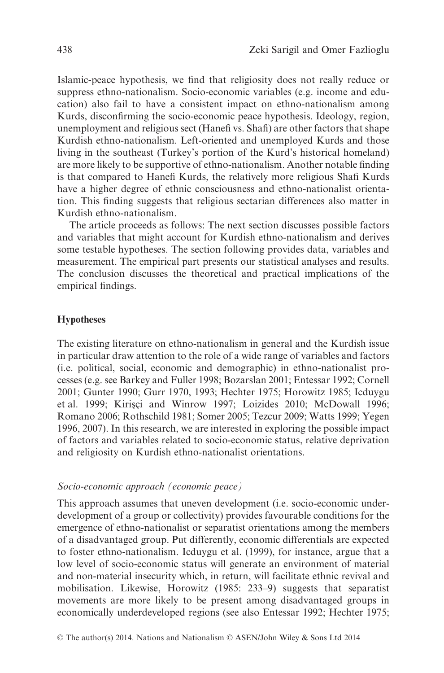Islamic-peace hypothesis, we find that religiosity does not really reduce or suppress ethno-nationalism. Socio-economic variables (e.g. income and education) also fail to have a consistent impact on ethno-nationalism among Kurds, disconfirming the socio-economic peace hypothesis. Ideology, region, unemployment and religious sect (Hanefi vs. Shafi) are other factors that shape Kurdish ethno-nationalism. Left-oriented and unemployed Kurds and those living in the southeast (Turkey's portion of the Kurd's historical homeland) are more likely to be supportive of ethno-nationalism. Another notable finding is that compared to Hanefi Kurds, the relatively more religious Shafi Kurds have a higher degree of ethnic consciousness and ethno-nationalist orientation. This finding suggests that religious sectarian differences also matter in Kurdish ethno-nationalism.

The article proceeds as follows: The next section discusses possible factors and variables that might account for Kurdish ethno-nationalism and derives some testable hypotheses. The section following provides data, variables and measurement. The empirical part presents our statistical analyses and results. The conclusion discusses the theoretical and practical implications of the empirical findings.

#### **Hypotheses**

The existing literature on ethno-nationalism in general and the Kurdish issue in particular draw attention to the role of a wide range of variables and factors (i.e. political, social, economic and demographic) in ethno-nationalist processes (e.g. see Barkey and Fuller 1998; Bozarslan 2001; Entessar 1992; Cornell 2001; Gunter 1990; Gurr 1970, 1993; Hechter 1975; Horowitz 1985; Icduygu et al. 1999; Kirişçi and Winrow 1997; Loizides 2010; McDowall 1996; Romano 2006; Rothschild 1981; Somer 2005; Tezcur 2009; Watts 1999; Yegen 1996, 2007). In this research, we are interested in exploring the possible impact of factors and variables related to socio-economic status, relative deprivation and religiosity on Kurdish ethno-nationalist orientations.

## *Socio-economic approach (economic peace)*

This approach assumes that uneven development (i.e. socio-economic underdevelopment of a group or collectivity) provides favourable conditions for the emergence of ethno-nationalist or separatist orientations among the members of a disadvantaged group. Put differently, economic differentials are expected to foster ethno-nationalism. Icduygu et al. (1999), for instance, argue that a low level of socio-economic status will generate an environment of material and non-material insecurity which, in return, will facilitate ethnic revival and mobilisation. Likewise, Horowitz (1985: 233–9) suggests that separatist movements are more likely to be present among disadvantaged groups in economically underdeveloped regions (see also Entessar 1992; Hechter 1975;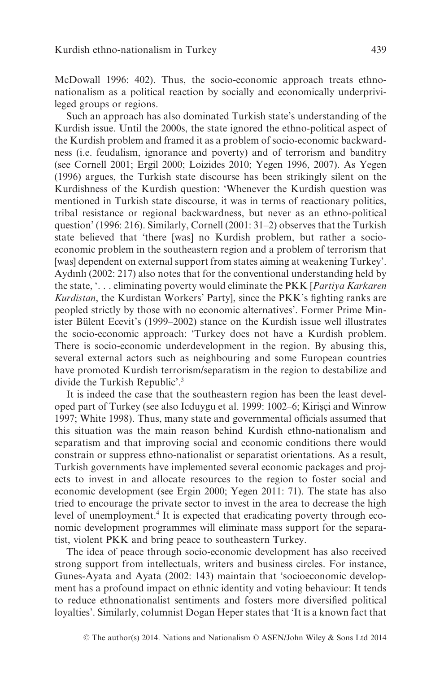McDowall 1996: 402). Thus, the socio-economic approach treats ethnonationalism as a political reaction by socially and economically underprivileged groups or regions.

Such an approach has also dominated Turkish state's understanding of the Kurdish issue. Until the 2000s, the state ignored the ethno-political aspect of the Kurdish problem and framed it as a problem of socio-economic backwardness (i.e. feudalism, ignorance and poverty) and of terrorism and banditry (see Cornell 2001; Ergil 2000; Loizides 2010; Yegen 1996, 2007). As Yegen (1996) argues, the Turkish state discourse has been strikingly silent on the Kurdishness of the Kurdish question: 'Whenever the Kurdish question was mentioned in Turkish state discourse, it was in terms of reactionary politics, tribal resistance or regional backwardness, but never as an ethno-political question' (1996: 216). Similarly, Cornell (2001: 31–2) observes that the Turkish state believed that 'there [was] no Kurdish problem, but rather a socioeconomic problem in the southeastern region and a problem of terrorism that [was] dependent on external support from states aiming at weakening Turkey'. Aydınlı (2002: 217) also notes that for the conventional understanding held by the state, '. . . eliminating poverty would eliminate the PKK [*Partiya Karkaren Kurdistan*, the Kurdistan Workers' Party], since the PKK's fighting ranks are peopled strictly by those with no economic alternatives'. Former Prime Minister Bülent Ecevit's (1999–2002) stance on the Kurdish issue well illustrates the socio-economic approach: 'Turkey does not have a Kurdish problem. There is socio-economic underdevelopment in the region. By abusing this, several external actors such as neighbouring and some European countries have promoted Kurdish terrorism/separatism in the region to destabilize and divide the Turkish Republic'.3

It is indeed the case that the southeastern region has been the least developed part of Turkey (see also Icduygu et al. 1999: 1002–6; Kirisçi and Winrow 1997; White 1998). Thus, many state and governmental officials assumed that this situation was the main reason behind Kurdish ethno-nationalism and separatism and that improving social and economic conditions there would constrain or suppress ethno-nationalist or separatist orientations. As a result, Turkish governments have implemented several economic packages and projects to invest in and allocate resources to the region to foster social and economic development (see Ergin 2000; Yegen 2011: 71). The state has also tried to encourage the private sector to invest in the area to decrease the high level of unemployment.<sup>4</sup> It is expected that eradicating poverty through economic development programmes will eliminate mass support for the separatist, violent PKK and bring peace to southeastern Turkey.

The idea of peace through socio-economic development has also received strong support from intellectuals, writers and business circles. For instance, Gunes-Ayata and Ayata (2002: 143) maintain that 'socioeconomic development has a profound impact on ethnic identity and voting behaviour: It tends to reduce ethnonationalist sentiments and fosters more diversified political loyalties'. Similarly, columnist Dogan Heper states that 'It is a known fact that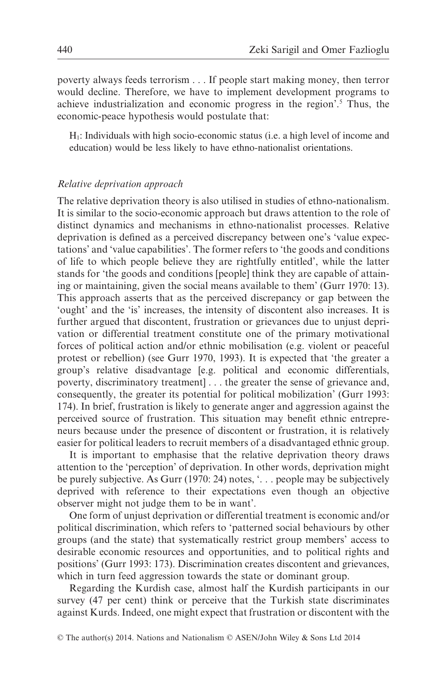poverty always feeds terrorism . . . If people start making money, then terror would decline. Therefore, we have to implement development programs to achieve industrialization and economic progress in the region'.5 Thus, the economic-peace hypothesis would postulate that:

 $H<sub>1</sub>$ : Individuals with high socio-economic status (i.e. a high level of income and education) would be less likely to have ethno-nationalist orientations.

## *Relative deprivation approach*

The relative deprivation theory is also utilised in studies of ethno-nationalism. It is similar to the socio-economic approach but draws attention to the role of distinct dynamics and mechanisms in ethno-nationalist processes. Relative deprivation is defined as a perceived discrepancy between one's 'value expectations' and 'value capabilities'. The former refers to 'the goods and conditions of life to which people believe they are rightfully entitled', while the latter stands for 'the goods and conditions [people] think they are capable of attaining or maintaining, given the social means available to them' (Gurr 1970: 13). This approach asserts that as the perceived discrepancy or gap between the 'ought' and the 'is' increases, the intensity of discontent also increases. It is further argued that discontent, frustration or grievances due to unjust deprivation or differential treatment constitute one of the primary motivational forces of political action and/or ethnic mobilisation (e.g. violent or peaceful protest or rebellion) (see Gurr 1970, 1993). It is expected that 'the greater a group's relative disadvantage [e.g. political and economic differentials, poverty, discriminatory treatment] . . . the greater the sense of grievance and, consequently, the greater its potential for political mobilization' (Gurr 1993: 174). In brief, frustration is likely to generate anger and aggression against the perceived source of frustration. This situation may benefit ethnic entrepreneurs because under the presence of discontent or frustration, it is relatively easier for political leaders to recruit members of a disadvantaged ethnic group.

It is important to emphasise that the relative deprivation theory draws attention to the 'perception' of deprivation. In other words, deprivation might be purely subjective. As Gurr (1970: 24) notes, '. . . people may be subjectively deprived with reference to their expectations even though an objective observer might not judge them to be in want'.

One form of unjust deprivation or differential treatment is economic and/or political discrimination, which refers to 'patterned social behaviours by other groups (and the state) that systematically restrict group members' access to desirable economic resources and opportunities, and to political rights and positions' (Gurr 1993: 173). Discrimination creates discontent and grievances, which in turn feed aggression towards the state or dominant group.

Regarding the Kurdish case, almost half the Kurdish participants in our survey (47 per cent) think or perceive that the Turkish state discriminates against Kurds. Indeed, one might expect that frustration or discontent with the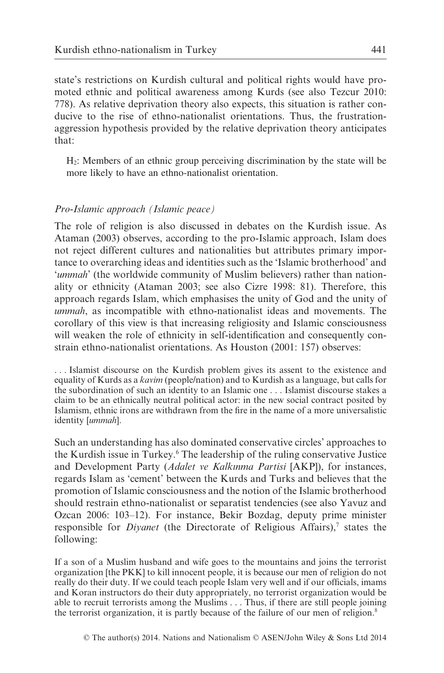state's restrictions on Kurdish cultural and political rights would have promoted ethnic and political awareness among Kurds (see also Tezcur 2010: 778). As relative deprivation theory also expects, this situation is rather conducive to the rise of ethno-nationalist orientations. Thus, the frustrationaggression hypothesis provided by the relative deprivation theory anticipates that:

H2: Members of an ethnic group perceiving discrimination by the state will be more likely to have an ethno-nationalist orientation.

## *Pro-Islamic approach (Islamic peace)*

The role of religion is also discussed in debates on the Kurdish issue. As Ataman (2003) observes, according to the pro-Islamic approach, Islam does not reject different cultures and nationalities but attributes primary importance to overarching ideas and identities such as the 'Islamic brotherhood' and '*ummah*' (the worldwide community of Muslim believers) rather than nationality or ethnicity (Ataman 2003; see also Cizre 1998: 81). Therefore, this approach regards Islam, which emphasises the unity of God and the unity of *ummah*, as incompatible with ethno-nationalist ideas and movements. The corollary of this view is that increasing religiosity and Islamic consciousness will weaken the role of ethnicity in self-identification and consequently constrain ethno-nationalist orientations. As Houston (2001: 157) observes:

. . . Islamist discourse on the Kurdish problem gives its assent to the existence and equality of Kurds as a *kavim* (people/nation) and to Kurdish as a language, but calls for the subordination of such an identity to an Islamic one... Islamist discourse stakes a claim to be an ethnically neutral political actor: in the new social contract posited by Islamism, ethnic irons are withdrawn from the fire in the name of a more universalistic identity [*ummah*].

Such an understanding has also dominated conservative circles' approaches to the Kurdish issue in Turkey.6 The leadership of the ruling conservative Justice and Development Party (*Adalet ve Kalkınma Partisi* [AKP]), for instances, regards Islam as 'cement' between the Kurds and Turks and believes that the promotion of Islamic consciousness and the notion of the Islamic brotherhood should restrain ethno-nationalist or separatist tendencies (see also Yavuz and Ozcan 2006: 103–12). For instance, Bekir Bozdag, deputy prime minister responsible for *Diyanet* (the Directorate of Religious Affairs),<sup>7</sup> states the following:

If a son of a Muslim husband and wife goes to the mountains and joins the terrorist organization [the PKK] to kill innocent people, it is because our men of religion do not really do their duty. If we could teach people Islam very well and if our officials, imams and Koran instructors do their duty appropriately, no terrorist organization would be able to recruit terrorists among the Muslims... Thus, if there are still people joining the terrorist organization, it is partly because of the failure of our men of religion.<sup>8</sup>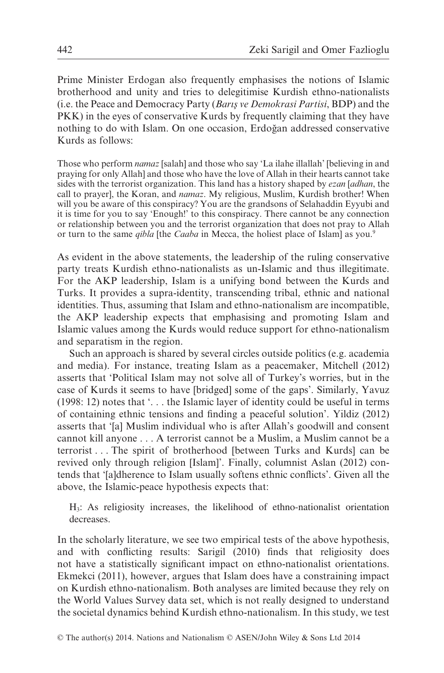Prime Minister Erdogan also frequently emphasises the notions of Islamic brotherhood and unity and tries to delegitimise Kurdish ethno-nationalists (i.e. the Peace and Democracy Party (*Barıs¸ ve Demokrasi Partisi*, BDP) and the PKK) in the eyes of conservative Kurds by frequently claiming that they have nothing to do with Islam. On one occasion, Erdoğan addressed conservative Kurds as follows:

Those who perform *namaz* [salah] and those who say 'La ilahe illallah' [believing in and praying for only Allah] and those who have the love of Allah in their hearts cannot take sides with the terrorist organization. This land has a history shaped by *ezan* [*adhan*, the call to prayer], the Koran, and *namaz*. My religious, Muslim, Kurdish brother! When will you be aware of this conspiracy? You are the grandsons of Selahaddin Eyyubi and it is time for you to say 'Enough!' to this conspiracy. There cannot be any connection or relationship between you and the terrorist organization that does not pray to Allah or turn to the same *qibla* [the *Caaba* in Mecca, the holiest place of Islam] as you.<sup>9</sup>

As evident in the above statements, the leadership of the ruling conservative party treats Kurdish ethno-nationalists as un-Islamic and thus illegitimate. For the AKP leadership, Islam is a unifying bond between the Kurds and Turks. It provides a supra-identity, transcending tribal, ethnic and national identities. Thus, assuming that Islam and ethno-nationalism are incompatible, the AKP leadership expects that emphasising and promoting Islam and Islamic values among the Kurds would reduce support for ethno-nationalism and separatism in the region.

Such an approach is shared by several circles outside politics (e.g. academia and media). For instance, treating Islam as a peacemaker, Mitchell (2012) asserts that 'Political Islam may not solve all of Turkey's worries, but in the case of Kurds it seems to have [bridged] some of the gaps'. Similarly, Yavuz (1998: 12) notes that '. . . the Islamic layer of identity could be useful in terms of containing ethnic tensions and finding a peaceful solution'. Yildiz (2012) asserts that '[a] Muslim individual who is after Allah's goodwill and consent cannot kill anyone...A terrorist cannot be a Muslim, a Muslim cannot be a terrorist . . . The spirit of brotherhood [between Turks and Kurds] can be revived only through religion [Islam]'. Finally, columnist Aslan (2012) contends that '[a]dherence to Islam usually softens ethnic conflicts'. Given all the above, the Islamic-peace hypothesis expects that:

H3: As religiosity increases, the likelihood of ethno-nationalist orientation decreases.

In the scholarly literature, we see two empirical tests of the above hypothesis, and with conflicting results: Sarigil (2010) finds that religiosity does not have a statistically significant impact on ethno-nationalist orientations. Ekmekci (2011), however, argues that Islam does have a constraining impact on Kurdish ethno-nationalism. Both analyses are limited because they rely on the World Values Survey data set, which is not really designed to understand the societal dynamics behind Kurdish ethno-nationalism. In this study, we test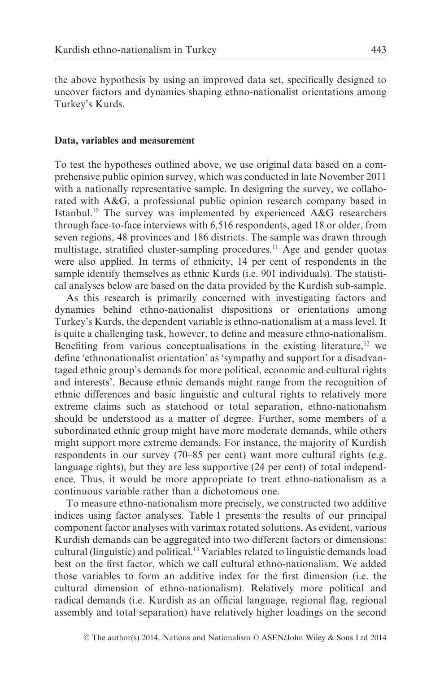the above hypothesis by using an improved data set, specifically designed to uncover factors and dynamics shaping ethno-nationalist orientations among Turkey's Kurds.

#### **Data, variables and measurement**

To test the hypotheses outlined above, we use original data based on a comprehensive public opinion survey, which was conducted in late November 2011 with a nationally representative sample. In designing the survey, we collaborated with A&G, a professional public opinion research company based in Istanbul.<sup>10</sup> The survey was implemented by experienced A&G researchers through face-to-face interviews with 6,516 respondents, aged 18 or older, from seven regions, 48 provinces and 186 districts. The sample was drawn through multistage, stratified cluster-sampling procedures.<sup>11</sup> Age and gender quotas were also applied. In terms of ethnicity, 14 per cent of respondents in the sample identify themselves as ethnic Kurds (i.e. 901 individuals). The statistical analyses below are based on the data provided by the Kurdish sub-sample.

As this research is primarily concerned with investigating factors and dynamics behind ethno-nationalist dispositions or orientations among Turkey's Kurds, the dependent variable is ethno-nationalism at a mass level. It is quite a challenging task, however, to define and measure ethno-nationalism. Benefiting from various conceptualisations in the existing literature,<sup>12</sup> we define 'ethnonationalist orientation' as 'sympathy and support for a disadvantaged ethnic group's demands for more political, economic and cultural rights and interests'. Because ethnic demands might range from the recognition of ethnic differences and basic linguistic and cultural rights to relatively more extreme claims such as statehood or total separation, ethno-nationalism should be understood as a matter of degree. Further, some members of a subordinated ethnic group might have more moderate demands, while others might support more extreme demands. For instance, the majority of Kurdish respondents in our survey (70–85 per cent) want more cultural rights (e.g. language rights), but they are less supportive (24 per cent) of total independence. Thus, it would be more appropriate to treat ethno-nationalism as a continuous variable rather than a dichotomous one.

To measure ethno-nationalism more precisely, we constructed two additive indices using factor analyses. Table 1 presents the results of our principal component factor analyses with varimax rotated solutions. As evident, various Kurdish demands can be aggregated into two different factors or dimensions: cultural (linguistic) and political.13 Variables related to linguistic demands load best on the first factor, which we call cultural ethno-nationalism. We added those variables to form an additive index for the first dimension (i.e. the cultural dimension of ethno-nationalism). Relatively more political and radical demands (i.e. Kurdish as an official language, regional flag, regional assembly and total separation) have relatively higher loadings on the second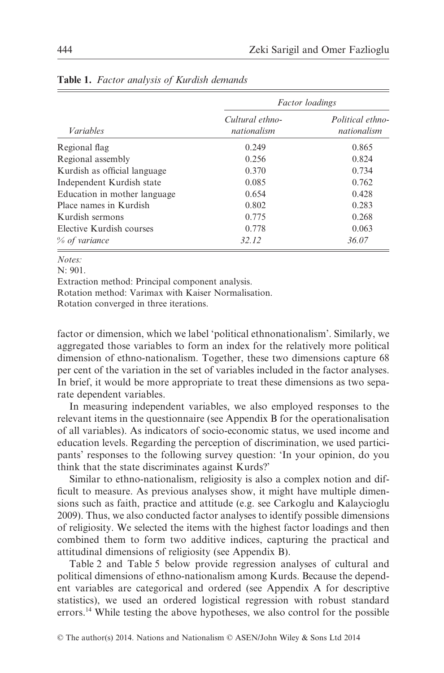|                              |                                | <i>Factor loadings</i>          |
|------------------------------|--------------------------------|---------------------------------|
| <i>Variables</i>             | Cultural ethno-<br>nationalism | Political ethno-<br>nationalism |
| Regional flag                | 0.249                          | 0.865                           |
| Regional assembly            | 0.256                          | 0.824                           |
| Kurdish as official language | 0.370                          | 0.734                           |
| Independent Kurdish state    | 0.085                          | 0.762                           |
| Education in mother language | 0.654                          | 0.428                           |
| Place names in Kurdish       | 0.802                          | 0.283                           |
| Kurdish sermons              | 0.775                          | 0.268                           |
| Elective Kurdish courses     | 0.778                          | 0.063                           |
| % of variance                | 32.12                          | 36.07                           |

**Table 1.** *Factor analysis of Kurdish demands*

*Notes:*

N: 901.

Extraction method: Principal component analysis.

Rotation method: Varimax with Kaiser Normalisation.

Rotation converged in three iterations.

factor or dimension, which we label 'political ethnonationalism'. Similarly, we aggregated those variables to form an index for the relatively more political dimension of ethno-nationalism. Together, these two dimensions capture 68 per cent of the variation in the set of variables included in the factor analyses. In brief, it would be more appropriate to treat these dimensions as two separate dependent variables.

In measuring independent variables, we also employed responses to the relevant items in the questionnaire (see Appendix B for the operationalisation of all variables). As indicators of socio-economic status, we used income and education levels. Regarding the perception of discrimination, we used participants' responses to the following survey question: 'In your opinion, do you think that the state discriminates against Kurds?'

Similar to ethno-nationalism, religiosity is also a complex notion and difficult to measure. As previous analyses show, it might have multiple dimensions such as faith, practice and attitude (e.g. see Carkoglu and Kalaycioglu 2009). Thus, we also conducted factor analyses to identify possible dimensions of religiosity. We selected the items with the highest factor loadings and then combined them to form two additive indices, capturing the practical and attitudinal dimensions of religiosity (see Appendix B).

Table 2 and Table 5 below provide regression analyses of cultural and political dimensions of ethno-nationalism among Kurds. Because the dependent variables are categorical and ordered (see Appendix A for descriptive statistics), we used an ordered logistical regression with robust standard errors.<sup>14</sup> While testing the above hypotheses, we also control for the possible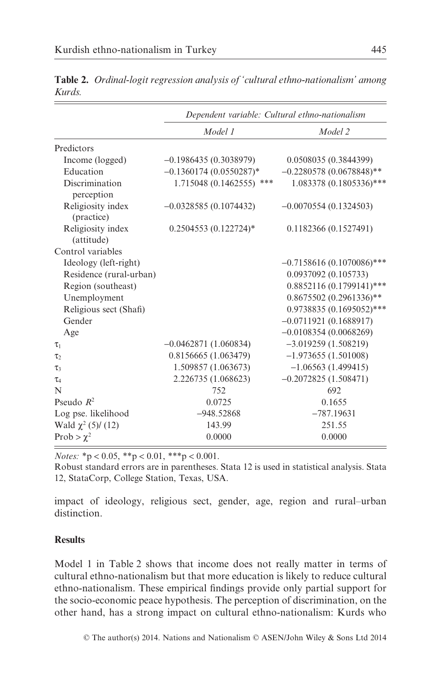|                                 | Dependent variable: Cultural ethno-nationalism |                             |
|---------------------------------|------------------------------------------------|-----------------------------|
|                                 | Model 1                                        | Model 2                     |
| Predictors                      |                                                |                             |
| Income (logged)                 | $-0.1986435(0.3038979)$                        | 0.0508035 (0.3844399)       |
| Education                       | $-0.1360174(0.0550287)$ *                      | $-0.2280578(0.0678848)$ **  |
| Discrimination<br>perception    | 1.715048 (0.1462555)<br>***                    | $1.083378(0.1805336)$ ***   |
| Religiosity index<br>(practice) | $-0.0328585(0.1074432)$                        | $-0.0070554(0.1324503)$     |
| Religiosity index<br>(attitude) | $0.2504553(0.122724)^*$                        | 0.1182366(0.1527491)        |
| Control variables               |                                                |                             |
| Ideology (left-right)           |                                                | $-0.7158616(0.1070086)$ *** |
| Residence (rural-urban)         |                                                | 0.0937092 (0.105733)        |
| Region (southeast)              |                                                | $0.8852116(0.1799141)$ ***  |
| Unemployment                    |                                                | $0.8675502 (0.2961336)$ **  |
| Religious sect (Shafi)          |                                                | $0.9738835(0.1695052)$ ***  |
| Gender                          |                                                | $-0.0711921(0.1688917)$     |
| Age                             |                                                | $-0.0108354(0.0068269)$     |
| $\tau_1$                        | $-0.0462871(1.060834)$                         | $-3.019259(1.508219)$       |
| $\tau$                          | 0.8156665 (1.063479)                           | $-1.973655(1.501008)$       |
| $\tau_3$                        | 1.509857 (1.063673)                            | $-1.06563(1.499415)$        |
| $\tau_4$                        | 2.226735 (1.068623)                            | $-0.2072825(1.508471)$      |
| N                               | 752                                            | 692                         |
| Pseudo $R^2$                    | 0.0725                                         | 0.1655                      |
| Log pse. likelihood             | $-948.52868$                                   | $-787.19631$                |
| Wald $\chi^2$ (5)/ (12)         | 143.99                                         | 251.55                      |
| Prob > $\chi^2$                 | 0.0000                                         | 0.0000                      |

**Table 2.** *Ordinal-logit regression analysis of 'cultural ethno-nationalism' among Kurds.*

*Notes:*  ${}^*p < 0.05$ ,  ${}^{**}p < 0.01$ ,  ${}^{***}p < 0.001$ .

Robust standard errors are in parentheses. Stata 12 is used in statistical analysis. Stata 12, StataCorp, College Station, Texas, USA.

impact of ideology, religious sect, gender, age, region and rural–urban distinction.

## **Results**

Model 1 in Table 2 shows that income does not really matter in terms of cultural ethno-nationalism but that more education is likely to reduce cultural ethno-nationalism. These empirical findings provide only partial support for the socio-economic peace hypothesis. The perception of discrimination, on the other hand, has a strong impact on cultural ethno-nationalism: Kurds who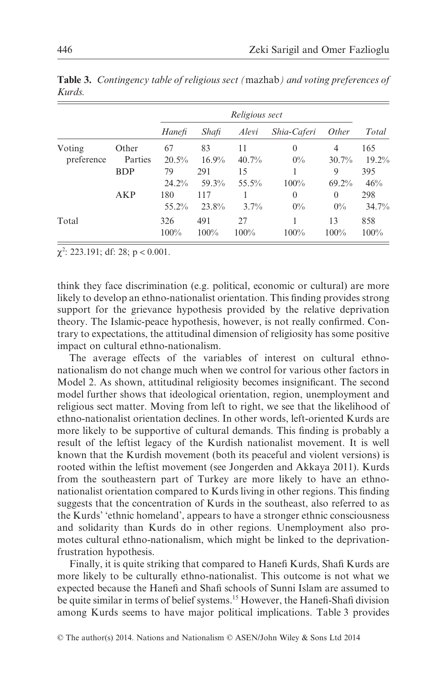|                      |                  |              |                | Religious sect |                   |                   |              |
|----------------------|------------------|--------------|----------------|----------------|-------------------|-------------------|--------------|
|                      |                  | Hanefi       | Shafi          | Alevi          | Shia-Caferi       | <i>Other</i>      | Total        |
| Voting<br>preference | Other<br>Parties | 67<br>20.5%  | 83<br>$16.9\%$ | 11<br>$40.7\%$ | $\theta$<br>$0\%$ | 4<br>30.7%        | 165<br>19.2% |
|                      | <b>BDP</b>       | 79<br>24.2%  | 291<br>59.3%   | 15<br>55.5%    | 100%              | 9<br>69.2%        | 395<br>46%   |
|                      | AKP              | 180<br>55.2% | 117<br>23.8%   | 3.7%           | $\theta$<br>$0\%$ | $\Omega$<br>$0\%$ | 298<br>34.7% |
| Total                |                  | 326<br>100%  | 491<br>100%    | 27<br>$100\%$  | 100%              | 13<br>100%        | 858<br>100%  |

**Table 3.** *Contingency table of religious sect (*mazhab*) and voting preferences of Kurds.*

χ2 : 223.191; df: 28; p < 0.001.

think they face discrimination (e.g. political, economic or cultural) are more likely to develop an ethno-nationalist orientation. This finding provides strong support for the grievance hypothesis provided by the relative deprivation theory. The Islamic-peace hypothesis, however, is not really confirmed. Contrary to expectations, the attitudinal dimension of religiosity has some positive impact on cultural ethno-nationalism.

The average effects of the variables of interest on cultural ethnonationalism do not change much when we control for various other factors in Model 2. As shown, attitudinal religiosity becomes insignificant. The second model further shows that ideological orientation, region, unemployment and religious sect matter. Moving from left to right, we see that the likelihood of ethno-nationalist orientation declines. In other words, left-oriented Kurds are more likely to be supportive of cultural demands. This finding is probably a result of the leftist legacy of the Kurdish nationalist movement. It is well known that the Kurdish movement (both its peaceful and violent versions) is rooted within the leftist movement (see Jongerden and Akkaya 2011). Kurds from the southeastern part of Turkey are more likely to have an ethnonationalist orientation compared to Kurds living in other regions. This finding suggests that the concentration of Kurds in the southeast, also referred to as the Kurds' 'ethnic homeland', appears to have a stronger ethnic consciousness and solidarity than Kurds do in other regions. Unemployment also promotes cultural ethno-nationalism, which might be linked to the deprivationfrustration hypothesis.

Finally, it is quite striking that compared to Hanefi Kurds, Shafi Kurds are more likely to be culturally ethno-nationalist. This outcome is not what we expected because the Hanefi and Shafi schools of Sunni Islam are assumed to be quite similar in terms of belief systems.15 However, the Hanefi-Shafi division among Kurds seems to have major political implications. Table 3 provides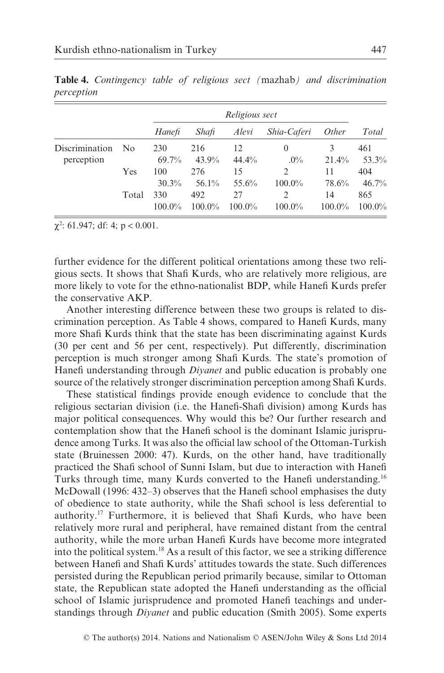|                |                |                  |                  | Religious sect  |                                         |                 |                  |
|----------------|----------------|------------------|------------------|-----------------|-----------------------------------------|-----------------|------------------|
|                |                | Hanefi           | Shafi            | Alevi           | Shia-Caferi                             | <i>Other</i>    | Total            |
| Discrimination | N <sub>0</sub> | 230              | 216              | 12              | $\theta$                                | 3               | 461              |
| perception     | Yes            | 69.7%<br>100     | 43.9%<br>276     | $44.4\%$<br>15  | $.0\%$<br>$\mathfrak{D}_{\mathfrak{p}}$ | $21.4\%$<br>11  | 53.3%<br>404     |
|                |                | $30.3\%$         | 56.1%            | 55.6%           | $100.0\%$                               | 78.6%           | 46.7%            |
|                | Total          | 330<br>$100.0\%$ | 492<br>$100.0\%$ | 27<br>$100.0\%$ | 2<br>$100.0\%$                          | 14<br>$100.0\%$ | 865<br>$100.0\%$ |

**Table 4.** *Contingency table of religious sect (*mazhab*) and discrimination perception*

 $\chi^2$ : 61.947; df: 4; p < 0.001.

further evidence for the different political orientations among these two religious sects. It shows that Shafi Kurds, who are relatively more religious, are more likely to vote for the ethno-nationalist BDP, while Hanefi Kurds prefer the conservative AKP.

Another interesting difference between these two groups is related to discrimination perception. As Table 4 shows, compared to Hanefi Kurds, many more Shafi Kurds think that the state has been discriminating against Kurds (30 per cent and 56 per cent, respectively). Put differently, discrimination perception is much stronger among Shafi Kurds. The state's promotion of Hanefi understanding through *Diyanet* and public education is probably one source of the relatively stronger discrimination perception among Shafi Kurds.

These statistical findings provide enough evidence to conclude that the religious sectarian division (i.e. the Hanefi-Shafi division) among Kurds has major political consequences. Why would this be? Our further research and contemplation show that the Hanefi school is the dominant Islamic jurisprudence among Turks. It was also the official law school of the Ottoman-Turkish state (Bruinessen 2000: 47). Kurds, on the other hand, have traditionally practiced the Shafi school of Sunni Islam, but due to interaction with Hanefi Turks through time, many Kurds converted to the Hanefi understanding.16 McDowall (1996: 432–3) observes that the Hanefi school emphasises the duty of obedience to state authority, while the Shafi school is less deferential to authority.17 Furthermore, it is believed that Shafi Kurds, who have been relatively more rural and peripheral, have remained distant from the central authority, while the more urban Hanefi Kurds have become more integrated into the political system.18 As a result of this factor, we see a striking difference between Hanefi and Shafi Kurds' attitudes towards the state. Such differences persisted during the Republican period primarily because, similar to Ottoman state, the Republican state adopted the Hanefi understanding as the official school of Islamic jurisprudence and promoted Hanefi teachings and understandings through *Diyanet* and public education (Smith 2005). Some experts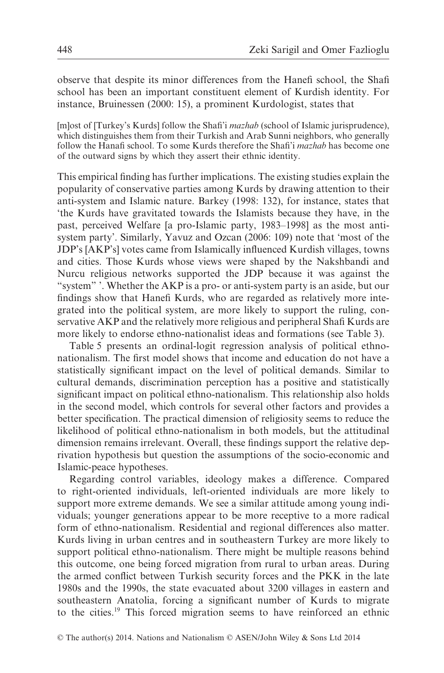observe that despite its minor differences from the Hanefi school, the Shafi school has been an important constituent element of Kurdish identity. For instance, Bruinessen (2000: 15), a prominent Kurdologist, states that

[m]ost of [Turkey's Kurds] follow the Shafi'i *mazhab* (school of Islamic jurisprudence), which distinguishes them from their Turkish and Arab Sunni neighbors, who generally follow the Hanafi school. To some Kurds therefore the Shafi'i *mazhab* has become one of the outward signs by which they assert their ethnic identity.

This empirical finding has further implications. The existing studies explain the popularity of conservative parties among Kurds by drawing attention to their anti-system and Islamic nature. Barkey (1998: 132), for instance, states that 'the Kurds have gravitated towards the Islamists because they have, in the past, perceived Welfare [a pro-Islamic party, 1983–1998] as the most antisystem party'. Similarly, Yavuz and Ozcan (2006: 109) note that 'most of the JDP's [AKP's] votes came from Islamically influenced Kurdish villages, towns and cities. Those Kurds whose views were shaped by the Nakshbandi and Nurcu religious networks supported the JDP because it was against the "system" '. Whether the AKP is a pro- or anti-system party is an aside, but our findings show that Hanefi Kurds, who are regarded as relatively more integrated into the political system, are more likely to support the ruling, conservative AKP and the relatively more religious and peripheral Shafi Kurds are more likely to endorse ethno-nationalist ideas and formations (see Table 3).

Table 5 presents an ordinal-logit regression analysis of political ethnonationalism. The first model shows that income and education do not have a statistically significant impact on the level of political demands. Similar to cultural demands, discrimination perception has a positive and statistically significant impact on political ethno-nationalism. This relationship also holds in the second model, which controls for several other factors and provides a better specification. The practical dimension of religiosity seems to reduce the likelihood of political ethno-nationalism in both models, but the attitudinal dimension remains irrelevant. Overall, these findings support the relative deprivation hypothesis but question the assumptions of the socio-economic and Islamic-peace hypotheses.

Regarding control variables, ideology makes a difference. Compared to right-oriented individuals, left-oriented individuals are more likely to support more extreme demands. We see a similar attitude among young individuals; younger generations appear to be more receptive to a more radical form of ethno-nationalism. Residential and regional differences also matter. Kurds living in urban centres and in southeastern Turkey are more likely to support political ethno-nationalism. There might be multiple reasons behind this outcome, one being forced migration from rural to urban areas. During the armed conflict between Turkish security forces and the PKK in the late 1980s and the 1990s, the state evacuated about 3200 villages in eastern and southeastern Anatolia, forcing a significant number of Kurds to migrate to the cities.19 This forced migration seems to have reinforced an ethnic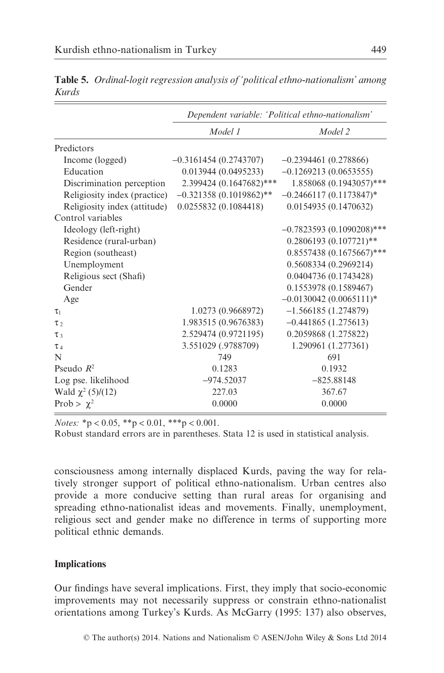|                              |                           | Dependent variable: 'Political ethno-nationalism' |
|------------------------------|---------------------------|---------------------------------------------------|
|                              | Model 1                   | Model 2                                           |
| Predictors                   |                           |                                                   |
| Income (logged)              | $-0.3161454(0.2743707)$   | $-0.2394461(0.278866)$                            |
| Education                    | 0.013944 (0.0495233)      | $-0.1269213(0.0653555)$                           |
| Discrimination perception    | 2.399424 (0.1647682)***   | 1.858068 (0.1943057)***                           |
| Religiosity index (practice) | $-0.321358(0.1019862)$ ** | $-0.2466117(0.1173847)^*$                         |
| Religiosity index (attitude) | 0.0255832(0.1084418)      | 0.0154935 (0.1470632)                             |
| Control variables            |                           |                                                   |
| Ideology (left-right)        |                           | $-0.7823593(0.1090208)$ ***                       |
| Residence (rural-urban)      |                           | $0.2806193(0.107721)$ **                          |
| Region (southeast)           |                           | $0.8557438(0.1675667)$ ***                        |
| Unemployment                 |                           | 0.5608334 (0.2969214)                             |
| Religious sect (Shafi)       |                           | 0.0404736 (0.1743428)                             |
| Gender                       |                           | 0.1553978 (0.1589467)                             |
| Age                          |                           | $-0.0130042$ (0.0065111)*                         |
| $\tau_1$                     | 1.0273 (0.9668972)        | $-1.566185(1.274879)$                             |
| $\tau$ <sub>2</sub>          | 1.983515 (0.9676383)      | $-0.441865(1.275613)$                             |
| $\tau$                       | 2.529474 (0.9721195)      | 0.2059868 (1.275822)                              |
| $\tau$ <sub>4</sub>          | 3.551029 (.9788709)       | 1.290961 (1.277361)                               |
| N                            | 749                       | 691                                               |
| Pseudo $R^2$                 | 0.1283                    | 0.1932                                            |
| Log pse. likelihood          | $-974.52037$              | $-825.88148$                                      |
| Wald $\chi^2$ (5)/(12)       | 227.03                    | 367.67                                            |
| Prob > $\chi^2$              | 0.0000                    | 0.0000                                            |

**Table 5.** *Ordinal-logit regression analysis of 'political ethno-nationalism' among Kurds*

*Notes:*  ${}^*p < 0.05$ ,  ${}^*p < 0.01$ ,  ${}^*{}^*p < 0.001$ .

Robust standard errors are in parentheses. Stata 12 is used in statistical analysis.

consciousness among internally displaced Kurds, paving the way for relatively stronger support of political ethno-nationalism. Urban centres also provide a more conducive setting than rural areas for organising and spreading ethno-nationalist ideas and movements. Finally, unemployment, religious sect and gender make no difference in terms of supporting more political ethnic demands.

## **Implications**

Our findings have several implications. First, they imply that socio-economic improvements may not necessarily suppress or constrain ethno-nationalist orientations among Turkey's Kurds. As McGarry (1995: 137) also observes,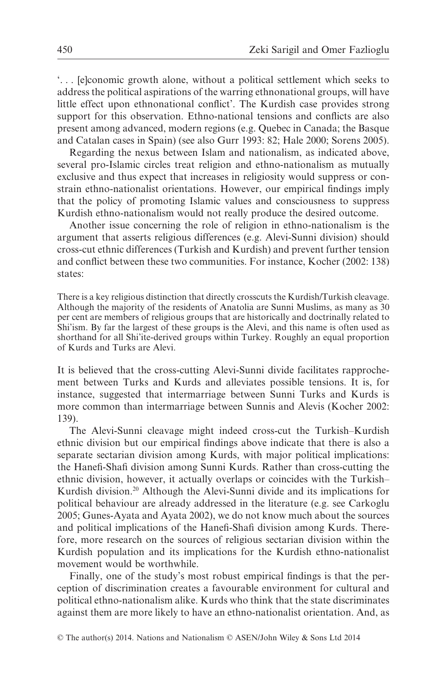'. . . [e]conomic growth alone, without a political settlement which seeks to address the political aspirations of the warring ethnonational groups, will have little effect upon ethnonational conflict'. The Kurdish case provides strong support for this observation. Ethno-national tensions and conflicts are also present among advanced, modern regions (e.g. Quebec in Canada; the Basque and Catalan cases in Spain) (see also Gurr 1993: 82; Hale 2000; Sorens 2005).

Regarding the nexus between Islam and nationalism, as indicated above, several pro-Islamic circles treat religion and ethno-nationalism as mutually exclusive and thus expect that increases in religiosity would suppress or constrain ethno-nationalist orientations. However, our empirical findings imply that the policy of promoting Islamic values and consciousness to suppress Kurdish ethno-nationalism would not really produce the desired outcome.

Another issue concerning the role of religion in ethno-nationalism is the argument that asserts religious differences (e.g. Alevi-Sunni division) should cross-cut ethnic differences (Turkish and Kurdish) and prevent further tension and conflict between these two communities. For instance, Kocher (2002: 138) states:

There is a key religious distinction that directly crosscuts the Kurdish/Turkish cleavage. Although the majority of the residents of Anatolia are Sunni Muslims, as many as 30 per cent are members of religious groups that are historically and doctrinally related to Shi'ism. By far the largest of these groups is the Alevi, and this name is often used as shorthand for all Shi'ite-derived groups within Turkey. Roughly an equal proportion of Kurds and Turks are Alevi.

It is believed that the cross-cutting Alevi-Sunni divide facilitates rapprochement between Turks and Kurds and alleviates possible tensions. It is, for instance, suggested that intermarriage between Sunni Turks and Kurds is more common than intermarriage between Sunnis and Alevis (Kocher 2002: 139).

The Alevi-Sunni cleavage might indeed cross-cut the Turkish–Kurdish ethnic division but our empirical findings above indicate that there is also a separate sectarian division among Kurds, with major political implications: the Hanefi-Shafi division among Sunni Kurds. Rather than cross-cutting the ethnic division, however, it actually overlaps or coincides with the Turkish– Kurdish division.20 Although the Alevi-Sunni divide and its implications for political behaviour are already addressed in the literature (e.g. see Carkoglu 2005; Gunes-Ayata and Ayata 2002), we do not know much about the sources and political implications of the Hanefi-Shafi division among Kurds. Therefore, more research on the sources of religious sectarian division within the Kurdish population and its implications for the Kurdish ethno-nationalist movement would be worthwhile.

Finally, one of the study's most robust empirical findings is that the perception of discrimination creates a favourable environment for cultural and political ethno-nationalism alike. Kurds who think that the state discriminates against them are more likely to have an ethno-nationalist orientation. And, as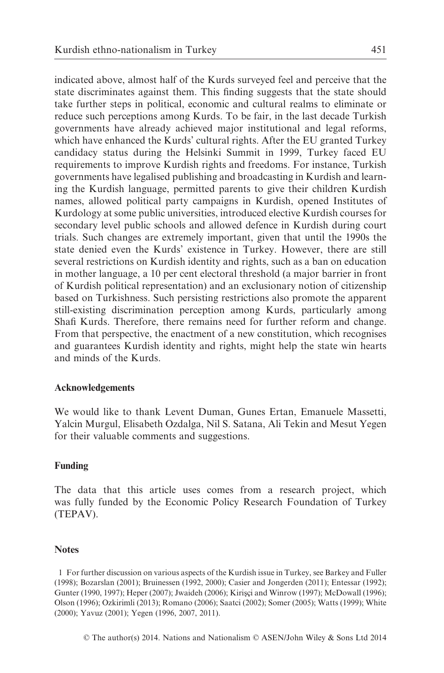indicated above, almost half of the Kurds surveyed feel and perceive that the state discriminates against them. This finding suggests that the state should take further steps in political, economic and cultural realms to eliminate or reduce such perceptions among Kurds. To be fair, in the last decade Turkish governments have already achieved major institutional and legal reforms, which have enhanced the Kurds' cultural rights. After the EU granted Turkey candidacy status during the Helsinki Summit in 1999, Turkey faced EU requirements to improve Kurdish rights and freedoms. For instance, Turkish governments have legalised publishing and broadcasting in Kurdish and learning the Kurdish language, permitted parents to give their children Kurdish names, allowed political party campaigns in Kurdish, opened Institutes of Kurdology at some public universities, introduced elective Kurdish courses for secondary level public schools and allowed defence in Kurdish during court trials. Such changes are extremely important, given that until the 1990s the state denied even the Kurds' existence in Turkey. However, there are still several restrictions on Kurdish identity and rights, such as a ban on education in mother language, a 10 per cent electoral threshold (a major barrier in front of Kurdish political representation) and an exclusionary notion of citizenship based on Turkishness. Such persisting restrictions also promote the apparent still-existing discrimination perception among Kurds, particularly among Shafi Kurds. Therefore, there remains need for further reform and change. From that perspective, the enactment of a new constitution, which recognises and guarantees Kurdish identity and rights, might help the state win hearts and minds of the Kurds.

## **Acknowledgements**

We would like to thank Levent Duman, Gunes Ertan, Emanuele Massetti, Yalcin Murgul, Elisabeth Ozdalga, Nil S. Satana, Ali Tekin and Mesut Yegen for their valuable comments and suggestions.

#### **Funding**

The data that this article uses comes from a research project, which was fully funded by the Economic Policy Research Foundation of Turkey (TEPAV).

#### **Notes**

1 For further discussion on various aspects of the Kurdish issue in Turkey, see Barkey and Fuller (1998); Bozarslan (2001); Bruinessen (1992, 2000); Casier and Jongerden (2011); Entessar (1992); Gunter (1990, 1997); Heper (2007); Jwaideh (2006); Kiris¸çi and Winrow (1997); McDowall (1996); Olson (1996); Ozkirimli (2013); Romano (2006); Saatci (2002); Somer (2005); Watts (1999); White (2000); Yavuz (2001); Yegen (1996, 2007, 2011).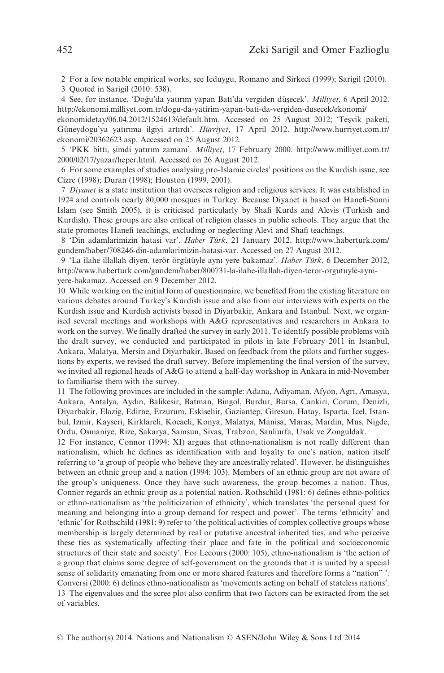2 For a few notable empirical works, see Icduygu, Romano and Sirkeci (1999); Sarigil (2010).

3 Quoted in Sarigil (2010: 538).

4 See, for instance, 'Dog˘u'da yatırım yapan Batı'da vergiden düs¸ecek'. *Milliyet*, 6 April 2012. [http://ekonomi.milliyet.com.tr/dogu-da-yatirim-yapan-bati-da-vergiden-dusecek/ekonomi/](http://ekonomi.milliyet.com.tr/dogu-da-yatirim-yapan-bati-da-vergiden-dusecek/ekonomi/ekonomidetay/06.04.2012/1524613/default.htm)

[ekonomidetay/06.04.2012/1524613/default.htm.](http://ekonomi.milliyet.com.tr/dogu-da-yatirim-yapan-bati-da-vergiden-dusecek/ekonomi/ekonomidetay/06.04.2012/1524613/default.htm) Accessed on 25 August 2012; 'Tesvik paketi, Güneydogu'ya yatırıma ilgiyi artırdı'. *Hürriyet*, 17 April 2012. [http://www.hurriyet.com.tr/](http://www.hurriyet.com.tr/ekonomi/20362623.asp) [ekonomi/20362623.asp.](http://www.hurriyet.com.tr/ekonomi/20362623.asp) Accessed on 25 August 2012.

5 'PKK bitti, simdi yatırım zamanı'. *Milliyet*, 17 February 2000. [http://www.milliyet.com.tr/](http://www.milliyet.com.tr/2000/02/17/yazar/heper.html) [2000/02/17/yazar/heper.html.](http://www.milliyet.com.tr/2000/02/17/yazar/heper.html) Accessed on 26 August 2012.

6 For some examples of studies analysing pro-Islamic circles' positions on the Kurdish issue, see Cizre (1998); Duran (1998); Houston (1999, 2001).

7 *Diyanet* is a state institution that oversees religion and religious services. It was established in 1924 and controls nearly 80,000 mosques in Turkey. Because Diyanet is based on Hanefi-Sunni Islam (see Smith 2005), it is criticised particularly by Shafi Kurds and Alevis (Turkish and Kurdish). These groups are also critical of religion classes in public schools. They argue that the state promotes Hanefi teachings, excluding or neglecting Alevi and Shafi teachings.

8 'Din adamlarimizin hatasi var'. *Haber Türk*, 21 January 2012. [http://www.haberturk.com/](http://www.haberturk.com/gundem/haber/708246-din-adamlarimizin-hatasi-var) [gundem/haber/708246-din-adamlarimizin-hatasi-var.](http://www.haberturk.com/gundem/haber/708246-din-adamlarimizin-hatasi-var) Accessed on 27 August 2012.

9 'La ilahe illallah diyen, terör örgütüyle aynı yere bakamaz'. *Haber Türk*, 6 December 2012, [http://www.haberturk.com/gundem/haber/800731-la-ilahe-illallah-diyen-teror-orgutuyle-ayni](http://www.haberturk.com/gundem/haber/800731-la-ilahe-illallah-diyen-teror-orgutuyle-ayni-yere-bakamaz)[yere-bakamaz.](http://www.haberturk.com/gundem/haber/800731-la-ilahe-illallah-diyen-teror-orgutuyle-ayni-yere-bakamaz) Accessed on 9 December 2012.

10 While working on the initial form of questionnaire, we benefited from the existing literature on various debates around Turkey's Kurdish issue and also from our interviews with experts on the Kurdish issue and Kurdish activists based in Diyarbakir, Ankara and Istanbul. Next, we organised several meetings and workshops with A&G representatives and researchers in Ankara to work on the survey. We finally drafted the survey in early 2011. To identify possible problems with the draft survey, we conducted and participated in pilots in late February 2011 in Istanbul, Ankara, Malatya, Mersin and Diyarbakir. Based on feedback from the pilots and further suggestions by experts, we revised the draft survey. Before implementing the final version of the survey, we invited all regional heads of A&G to attend a half-day workshop in Ankara in mid-November to familiarise them with the survey.

11 The following provinces are included in the sample: Adana, Adiyaman, Afyon, Agrı, Amasya, Ankara, Antalya, Aydın, Balikesir, Batman, Bingol, Burdur, Bursa, Cankiri, Corum, Denizli, Diyarbakir, Elazig, Edirne, Erzurum, Eskisehir, Gaziantep, Giresun, Hatay, Isparta, Icel, Istanbul, Izmir, Kayseri, Kirklareli, Kocaeli, Konya, Malatya, Manisa, Maras, Mardin, Mus, Nigde, Ordu, Osmaniye, Rize, Sakarya, Samsun, Sivas, Trabzon, Sanliurfa, Usak ve Zonguldak.

12 For instance, Connor (1994: XI) argues that ethno-nationalism is not really different than nationalism, which he defines as identification with and loyalty to one's nation, nation itself referring to 'a group of people who believe they are ancestrally related'. However, he distinguishes between an ethnic group and a nation (1994: 103). Members of an ethnic group are not aware of the group's uniqueness. Once they have such awareness, the group becomes a nation. Thus, Connor regards an ethnic group as a potential nation. Rothschild (1981: 6) defines ethno-politics or ethno-nationalism as 'the politicization of ethnicity', which translates 'the personal quest for meaning and belonging into a group demand for respect and power'. The terms 'ethnicity' and 'ethnic' for Rothschild (1981: 9) refer to 'the political activities of complex collective groups whose membership is largely determined by real or putative ancestral inherited ties, and who perceive these ties as systematically affecting their place and fate in the political and socioeconomic structures of their state and society'. For Lecours (2000: 105), ethno-nationalism is 'the action of a group that claims some degree of self-government on the grounds that it is united by a special sense of solidarity emanating from one or more shared features and therefore forms a "nation" '. Conversi (2000: 6) defines ethno-nationalism as 'movements acting on behalf of stateless nations'. 13 The eigenvalues and the scree plot also confirm that two factors can be extracted from the set of variables.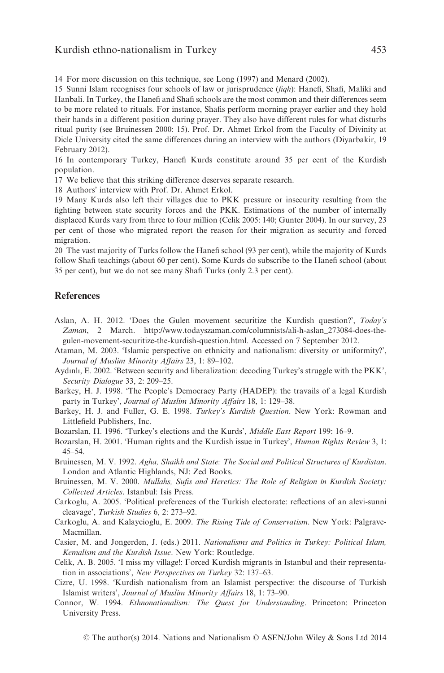14 For more discussion on this technique, see Long (1997) and Menard (2002).

15 Sunni Islam recognises four schools of law or jurisprudence (*fiqh*): Hanefi, Shafi, Maliki and Hanbali. In Turkey, the Hanefi and Shafi schools are the most common and their differences seem to be more related to rituals. For instance, Shafis perform morning prayer earlier and they hold their hands in a different position during prayer. They also have different rules for what disturbs ritual purity (see Bruinessen 2000: 15). Prof. Dr. Ahmet Erkol from the Faculty of Divinity at Dicle University cited the same differences during an interview with the authors (Diyarbakir, 19 February 2012).

16 In contemporary Turkey, Hanefi Kurds constitute around 35 per cent of the Kurdish population.

17 We believe that this striking difference deserves separate research.

18 Authors' interview with Prof. Dr. Ahmet Erkol.

19 Many Kurds also left their villages due to PKK pressure or insecurity resulting from the fighting between state security forces and the PKK. Estimations of the number of internally displaced Kurds vary from three to four million (Celik 2005: 140; Gunter 2004). In our survey, 23 per cent of those who migrated report the reason for their migration as security and forced migration.

20 The vast majority of Turks follow the Hanefi school (93 per cent), while the majority of Kurds follow Shafi teachings (about 60 per cent). Some Kurds do subscribe to the Hanefi school (about 35 per cent), but we do not see many Shafi Turks (only 2.3 per cent).

#### **References**

- Aslan, A. H. 2012. 'Does the Gulen movement securitize the Kurdish question?', *Today's Zaman*, 2 March. [http://www.todayszaman.com/columnists/ali-h-aslan\\_273084-does-the](http://www.todayszaman.com/columnists/ali-h-aslan_273084-does-the-gulen-movement-securitize-the-kurdish-question.html)[gulen-movement-securitize-the-kurdish-question.html.](http://www.todayszaman.com/columnists/ali-h-aslan_273084-does-the-gulen-movement-securitize-the-kurdish-question.html) Accessed on 7 September 2012.
- Ataman, M. 2003. 'Islamic perspective on ethnicity and nationalism: diversity or uniformity?', *Journal of Muslim Minority Affairs* 23, 1: 89–102.
- Aydınlı, E. 2002. 'Between security and liberalization: decoding Turkey's struggle with the PKK', *Security Dialogue* 33, 2: 209–25.
- Barkey, H. J. 1998. 'The People's Democracy Party (HADEP): the travails of a legal Kurdish party in Turkey', *Journal of Muslim Minority Affairs* 18, 1: 129–38.
- Barkey, H. J. and Fuller, G. E. 1998. *Turkey's Kurdish Question*. New York: Rowman and Littlefield Publishers, Inc.
- Bozarslan, H. 1996. 'Turkey's elections and the Kurds', *Middle East Report* 199: 16–9.
- Bozarslan, H. 2001. 'Human rights and the Kurdish issue in Turkey', *Human Rights Review* 3, 1: 45–54.
- Bruinessen, M. V. 1992. *Agha, Shaikh and State: The Social and Political Structures of Kurdistan*. London and Atlantic Highlands, NJ: Zed Books.
- Bruinessen, M. V. 2000. *Mullahs, Sufis and Heretics: The Role of Religion in Kurdish Society: Collected Articles*. Istanbul: Isis Press.
- Carkoglu, A. 2005. 'Political preferences of the Turkish electorate: reflections of an alevi-sunni cleavage', *Turkish Studies* 6, 2: 273–92.
- Carkoglu, A. and Kalaycioglu, E. 2009. *The Rising Tide of Conservatism*. New York: Palgrave-Macmillan.
- Casier, M. and Jongerden, J. (eds.) 2011. *Nationalisms and Politics in Turkey: Political Islam, Kemalism and the Kurdish Issue*. New York: Routledge.
- Celik, A. B. 2005. 'I miss my village!: Forced Kurdish migrants in Istanbul and their representation in associations', *New Perspectives on Turkey* 32: 137–63.
- Cizre, U. 1998. 'Kurdish nationalism from an Islamist perspective: the discourse of Turkish Islamist writers', *Journal of Muslim Minority Affairs* 18, 1: 73–90.
- Connor, W. 1994. *Ethnonationalism: The Quest for Understanding*. Princeton: Princeton University Press.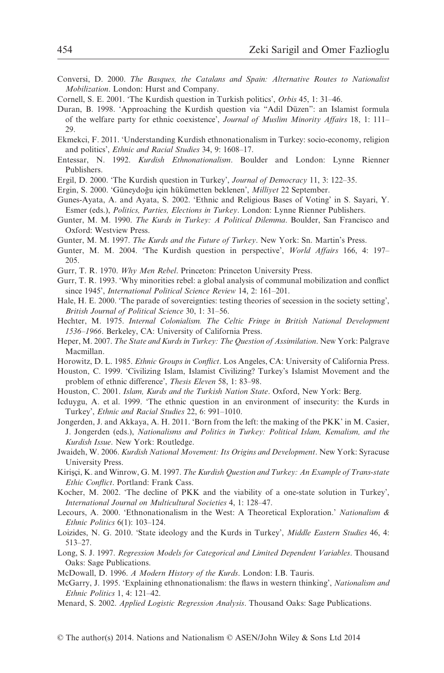- Conversi, D. 2000. *The Basques, the Catalans and Spain: Alternative Routes to Nationalist Mobilization*. London: Hurst and Company.
- Cornell, S. E. 2001. 'The Kurdish question in Turkish politics', *Orbis* 45, 1: 31–46.
- Duran, B. 1998. 'Approaching the Kurdish question via "Adil Düzen": an Islamist formula of the welfare party for ethnic coexistence', *Journal of Muslim Minority Affairs* 18, 1: 111– 29.
- Ekmekci, F. 2011. 'Understanding Kurdish ethnonationalism in Turkey: socio-economy, religion and politics', *Ethnic and Racial Studies* 34, 9: 1608–17.
- Entessar, N. 1992. *Kurdish Ethnonationalism*. Boulder and London: Lynne Rienner Publishers.
- Ergil, D. 2000. 'The Kurdish question in Turkey', *Journal of Democracy* 11, 3: 122–35.
- Ergin, S. 2000. 'Güneydog˘u için hükümetten beklenen', *Milliyet* 22 September.
- Gunes-Ayata, A. and Ayata, S. 2002. 'Ethnic and Religious Bases of Voting' in S. Sayari, Y. Esmer (eds.), *Politics, Parties, Elections in Turkey*. London: Lynne Rienner Publishers.
- Gunter, M. M. 1990. *The Kurds in Turkey: A Political Dilemma*. Boulder, San Francisco and Oxford: Westview Press.
- Gunter, M. M. 1997. *The Kurds and the Future of Turkey*. New York: Sn. Martin's Press.
- Gunter, M. M. 2004. 'The Kurdish question in perspective', *World Affairs* 166, 4: 197– 205.
- Gurr, T. R. 1970. *Why Men Rebel*. Princeton: Princeton University Press.
- Gurr, T. R. 1993. 'Why minorities rebel: a global analysis of communal mobilization and conflict since 1945', *International Political Science Review* 14, 2: 161–201.
- Hale, H. E. 2000. 'The parade of sovereignties: testing theories of secession in the society setting', *British Journal of Political Science* 30, 1: 31–56.
- Hechter, M. 1975. *Internal Colonialism. The Celtic Fringe in British National Development 1536–1966*. Berkeley, CA: University of California Press.
- Heper, M. 2007. *The State and Kurds in Turkey: The Question of Assimilation*. New York: Palgrave Macmillan.
- Horowitz, D. L. 1985. *Ethnic Groups in Conflict*. Los Angeles, CA: University of California Press.
- Houston, C. 1999. 'Civilizing Islam, Islamist Civilizing? Turkey's Islamist Movement and the problem of ethnic difference', *Thesis Eleven* 58, 1: 83–98.
- Houston, C. 2001. *Islam, Kurds and the Turkish Nation State*. Oxford, New York: Berg.
- Icduygu, A. et al. 1999. 'The ethnic question in an environment of insecurity: the Kurds in Turkey', *Ethnic and Racial Studies* 22, 6: 991–1010.
- Jongerden, J. and Akkaya, A. H. 2011. 'Born from the left: the making of the PKK' in M. Casier, J. Jongerden (eds.), *Nationalisms and Politics in Turkey: Political Islam, Kemalism, and the Kurdish Issue*. New York: Routledge.
- Jwaideh, W. 2006. *Kurdish National Movement: Its Origins and Development*. New York: Syracuse University Press.
- Kirisçi, K. and Winrow, G. M. 1997. *The Kurdish Question and Turkey: An Example of Trans-state Ethic Conflict*. Portland: Frank Cass.
- Kocher, M. 2002. 'The decline of PKK and the viability of a one-state solution in Turkey', *International Journal on Multicultural Societies* 4, 1: 128–47.
- Lecours, A. 2000. 'Ethnonationalism in the West: A Theoretical Exploration.' *Nationalism & Ethnic Politics* 6(1): 103–124.
- Loizides, N. G. 2010. 'State ideology and the Kurds in Turkey', *Middle Eastern Studies* 46, 4: 513–27.
- Long, S. J. 1997. *Regression Models for Categorical and Limited Dependent Variables*. Thousand Oaks: Sage Publications.
- McDowall, D. 1996. *A Modern History of the Kurds*. London: I.B. Tauris.
- McGarry, J. 1995. 'Explaining ethnonationalism: the flaws in western thinking', *Nationalism and Ethnic Politics* 1, 4: 121–42.
- Menard, S. 2002. *Applied Logistic Regression Analysis*. Thousand Oaks: Sage Publications.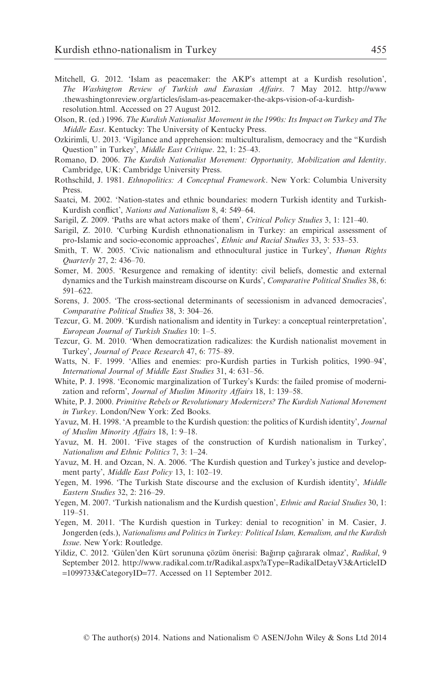- Mitchell, G. 2012. 'Islam as peacemaker: the AKP's attempt at a Kurdish resolution', *The Washington Review of Turkish and Eurasian Affairs*. 7 May 2012. [http://www](http://www.thewashingtonreview.org/articles/islam-as-peacemaker-the-akps-vision-of-a-kurdish-resolution.html) [.thewashingtonreview.org/articles/islam-as-peacemaker-the-akps-vision-of-a-kurdish](http://www.thewashingtonreview.org/articles/islam-as-peacemaker-the-akps-vision-of-a-kurdish-resolution.html)[resolution.html.](http://www.thewashingtonreview.org/articles/islam-as-peacemaker-the-akps-vision-of-a-kurdish-resolution.html) Accessed on 27 August 2012.
- Olson, R. (ed.) 1996. *The Kurdish Nationalist Movement in the 1990s: Its Impact on Turkey and The Middle East*. Kentucky: The University of Kentucky Press.
- Ozkirimli, U. 2013. 'Vigilance and apprehension: multiculturalism, democracy and the "Kurdish Question" in Turkey', *Middle East Critique*. 22, 1: 25–43.
- Romano, D. 2006. *The Kurdish Nationalist Movement: Opportunity, Mobilization and Identity*. Cambridge, UK: Cambridge University Press.
- Rothschild, J. 1981. *Ethnopolitics: A Conceptual Framework*. New York: Columbia University Press.
- Saatci, M. 2002. 'Nation-states and ethnic boundaries: modern Turkish identity and Turkish-Kurdish conflict', *Nations and Nationalism* 8, 4: 549–64.
- Sarigil, Z. 2009. 'Paths are what actors make of them', *Critical Policy Studies* 3, 1: 121–40.
- Sarigil, Z. 2010. 'Curbing Kurdish ethnonationalism in Turkey: an empirical assessment of pro-Islamic and socio-economic approaches', *Ethnic and Racial Studies* 33, 3: 533–53.
- Smith, T. W. 2005. 'Civic nationalism and ethnocultural justice in Turkey', *Human Rights Quarterly* 27, 2: 436–70.
- Somer, M. 2005. 'Resurgence and remaking of identity: civil beliefs, domestic and external dynamics and the Turkish mainstream discourse on Kurds', *Comparative Political Studies* 38, 6: 591–622.
- Sorens, J. 2005. 'The cross-sectional determinants of secessionism in advanced democracies', *Comparative Political Studies* 38, 3: 304–26.
- Tezcur, G. M. 2009. 'Kurdish nationalism and identity in Turkey: a conceptual reinterpretation', *European Journal of Turkish Studies* 10: 1–5.
- Tezcur, G. M. 2010. 'When democratization radicalizes: the Kurdish nationalist movement in Turkey', *Journal of Peace Research* 47, 6: 775–89.
- Watts, N. F. 1999. 'Allies and enemies: pro-Kurdish parties in Turkish politics, 1990–94', *International Journal of Middle East Studies* 31, 4: 631–56.
- White, P. J. 1998. 'Economic marginalization of Turkey's Kurds: the failed promise of modernization and reform', *Journal of Muslim Minority Affairs* 18, 1: 139–58.
- White, P. J. 2000. *Primitive Rebels or Revolutionary Modernizers? The Kurdish National Movement in Turkey*. London/New York: Zed Books.
- Yavuz, M. H. 1998. 'A preamble to the Kurdish question: the politics of Kurdish identity', *Journal of Muslim Minority Affairs* 18, 1: 9–18.
- Yavuz, M. H. 2001. 'Five stages of the construction of Kurdish nationalism in Turkey', *Nationalism and Ethnic Politics* 7, 3: 1–24.
- Yavuz, M. H. and Ozcan, N. A. 2006. 'The Kurdish question and Turkey's justice and development party', *Middle East Policy* 13, 1: 102–19.
- Yegen, M. 1996. 'The Turkish State discourse and the exclusion of Kurdish identity', *Middle Eastern Studies* 32, 2: 216–29.
- Yegen, M. 2007. 'Turkish nationalism and the Kurdish question', *Ethnic and Racial Studies* 30, 1: 119–51.
- Yegen, M. 2011. 'The Kurdish question in Turkey: denial to recognition' in M. Casier, J. Jongerden (eds.), *Nationalisms and Politics in Turkey: Political Islam, Kemalism, and the Kurdish Issue*. New York: Routledge.
- Yildiz, C. 2012. 'Gülen'den Kürt sorununa çözüm önerisi: Bağırıp çağırarak olmaz', Radikal, 9 September 2012. [http://www.radikal.com.tr/Radikal.aspx?aType](http://www.radikal.com.tr/Radikal.aspx?aType=RadikalDetayV3&ArticleID=1099733&CategoryID=77)=RadikalDetayV3&ArticleID =[1099733&CategoryID](http://www.radikal.com.tr/Radikal.aspx?aType=RadikalDetayV3&ArticleID=1099733&CategoryID=77)=77. Accessed on 11 September 2012.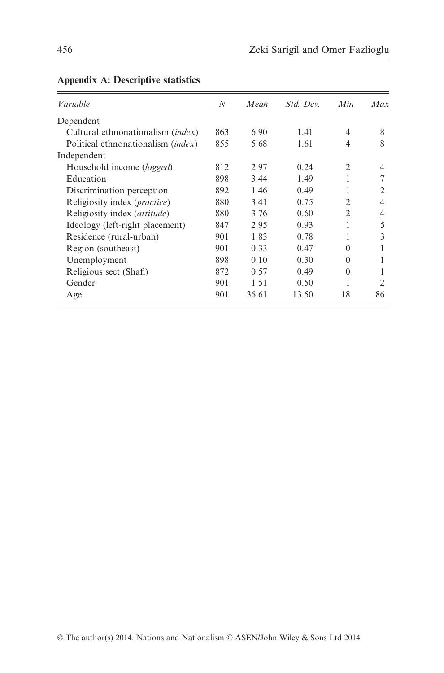| Variable                                  | $\boldsymbol{N}$ | Mean  | Std. Dev. | Min            | Max            |
|-------------------------------------------|------------------|-------|-----------|----------------|----------------|
| Dependent                                 |                  |       |           |                |                |
| Cultural ethnonationalism <i>(index)</i>  | 863              | 6.90  | 1.41      | 4              | 8              |
| Political ethnonationalism <i>(index)</i> | 855              | 5.68  | 1.61      | 4              | 8              |
| Independent                               |                  |       |           |                |                |
| Household income ( <i>logged</i> )        | 812              | 2.97  | 0.24      | $\mathfrak{D}$ | 4              |
| Education                                 | 898              | 3.44  | 1.49      |                | 7              |
| Discrimination perception                 | 892              | 1.46  | 0.49      |                | $\overline{c}$ |
| Religiosity index ( <i>practice</i> )     | 880              | 3.41  | 0.75      | $\mathfrak{D}$ | 4              |
| Religiosity index ( <i>attitude</i> )     | 880              | 3.76  | 0.60      | $\overline{2}$ | 4              |
| Ideology (left-right placement)           | 847              | 2.95  | 0.93      |                | 5              |
| Residence (rural-urban)                   | 901              | 1.83  | 0.78      |                | 3              |
| Region (southeast)                        | 901              | 0.33  | 0.47      | $\Omega$       |                |
| Unemployment                              | 898              | 0.10  | 0.30      | $\Omega$       |                |
| Religious sect (Shafi)                    | 872              | 0.57  | 0.49      | $\Omega$       |                |
| Gender                                    | 901              | 1.51  | 0.50      |                | $\mathfrak{D}$ |
| Age                                       | 901              | 36.61 | 13.50     | 18             | 86             |

## **Appendix A: Descriptive statistics**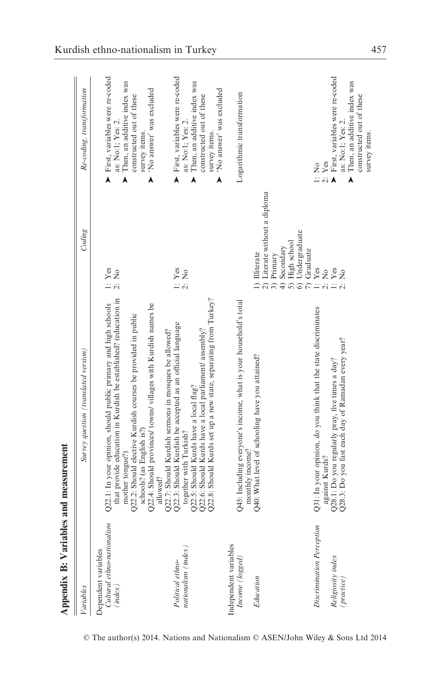| Then, an additive index was<br>Then, an additive index was<br>Then, an additive index was<br>Re-coding, transformation<br>'No answer' was excluded<br>'No answer' was excluded<br>Logarithmic transformation<br>constructed out of these<br>constructed out of these<br>constructed out of these<br>as: No:1; Yes: 2.<br>as: No:1; Yes: 2.<br>as: No:1; Yes: 2.<br>survey items.<br>survey items.<br>2: Yes<br>$1:$ No<br>$\lambda$<br>À<br>À<br>$\blacktriangle$<br>À<br>Literate without a diploma<br>Coding<br>Undergraduate<br>High school<br>Secondary<br>Graduate<br>1) Illiterate<br>Primary<br>${\it Yes}$<br>$\frac{1}{2}$ : No<br>$\frac{1}{2}$ : No<br>1: Yes<br>$\mathsf{S}^{\circ}$<br>$\tilde{z}$<br>$\pm$<br>$\widehat{2}$<br>$\widehat{f}$<br>$\widehat{\circ}$<br>ς.<br>that provide education in Kurdish be established? (education in<br>Q22.8: Should Kurds set up a new state, separating from Turkey?<br>Q45: Including everyone's income, what is your household's total<br>Q22.1: In your opinion, should public primary and high schools<br>Q22.4: Should provinces/ towns/ villages with Kurdish names be<br>Q31: In your opinion, do you think that the state discriminates<br>Q22.2: Should elective Kurdish courses be provided in public<br>Q22.3: Should Kurdish be accepted as an official language<br>Q22.7: Should Kurdish sermons in mosques be allowed?<br>Q22.6: Should Kurds have a local parliament/ assembly?<br>Q28.3: Do you fast each day of Ramadan every year?<br>Survey question (translated version)<br>Q40: What level of schooling have you attained?<br>Q28.1: Do you regularly pray, five times a day?<br>Q22.5: Should Kurds have a local flag?<br>schools? (as English is?)<br>together with Turkish?<br>monthly income?<br>mother tongue?)<br>against Kurds?<br>allowed?<br>Cultural ethno-nationalism<br>Discrimination Perception<br>Independent variables<br>nationalism (index)<br>Dependent variables<br>Religiosity index<br>Income (logged,<br>Political ethno-<br>Education<br><i>practice</i><br>(index)<br>Variables |  |               |
|--------------------------------------------------------------------------------------------------------------------------------------------------------------------------------------------------------------------------------------------------------------------------------------------------------------------------------------------------------------------------------------------------------------------------------------------------------------------------------------------------------------------------------------------------------------------------------------------------------------------------------------------------------------------------------------------------------------------------------------------------------------------------------------------------------------------------------------------------------------------------------------------------------------------------------------------------------------------------------------------------------------------------------------------------------------------------------------------------------------------------------------------------------------------------------------------------------------------------------------------------------------------------------------------------------------------------------------------------------------------------------------------------------------------------------------------------------------------------------------------------------------------------------------------------------------------------------------------------------------------------------------------------------------------------------------------------------------------------------------------------------------------------------------------------------------------------------------------------------------------------------------------------------------------------------------------------------------------------------------------------------------------------------------------------------------------------------------|--|---------------|
| First, variables were re-coded<br>First, variables were re-coded<br>First, variables were re-coded                                                                                                                                                                                                                                                                                                                                                                                                                                                                                                                                                                                                                                                                                                                                                                                                                                                                                                                                                                                                                                                                                                                                                                                                                                                                                                                                                                                                                                                                                                                                                                                                                                                                                                                                                                                                                                                                                                                                                                                   |  |               |
|                                                                                                                                                                                                                                                                                                                                                                                                                                                                                                                                                                                                                                                                                                                                                                                                                                                                                                                                                                                                                                                                                                                                                                                                                                                                                                                                                                                                                                                                                                                                                                                                                                                                                                                                                                                                                                                                                                                                                                                                                                                                                      |  |               |
|                                                                                                                                                                                                                                                                                                                                                                                                                                                                                                                                                                                                                                                                                                                                                                                                                                                                                                                                                                                                                                                                                                                                                                                                                                                                                                                                                                                                                                                                                                                                                                                                                                                                                                                                                                                                                                                                                                                                                                                                                                                                                      |  | survey items. |